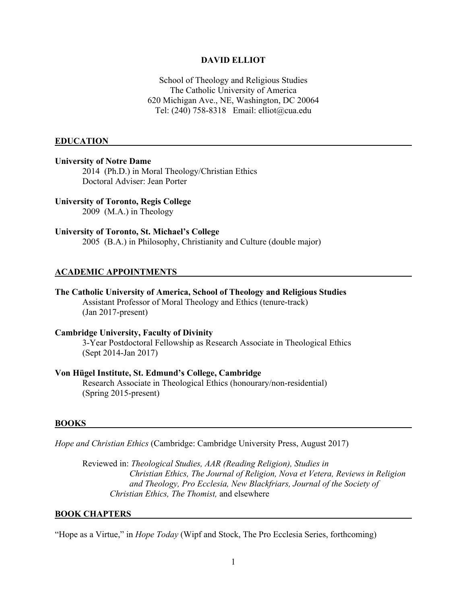#### **DAVID ELLIOT**

School of Theology and Religious Studies The Catholic University of America 620 Michigan Ave., NE, Washington, DC 20064 Tel: (240) 758-8318 Email: elliot@cua.edu

#### **EDUCATION**

#### **University of Notre Dame**

2014 (Ph.D.) in Moral Theology/Christian Ethics Doctoral Adviser: Jean Porter

## **University of Toronto, Regis College**

2009 (M.A.) in Theology

### **University of Toronto, St. Michael's College**

2005 (B.A.) in Philosophy, Christianity and Culture (double major)

## **ACADEMIC APPOINTMENTS**

# **The Catholic University of America, School of Theology and Religious Studies**

Assistant Professor of Moral Theology and Ethics (tenure-track) (Jan 2017-present)

## **Cambridge University, Faculty of Divinity**

3-Year Postdoctoral Fellowship as Research Associate in Theological Ethics (Sept 2014-Jan 2017)

## **Von Hügel Institute, St. Edmund's College, Cambridge**

Research Associate in Theological Ethics (honourary/non-residential) (Spring 2015-present)

#### **BOOKS**

*Hope and Christian Ethics* (Cambridge: Cambridge University Press, August 2017)

Reviewed in: *Theological Studies, AAR (Reading Religion), Studies in Christian Ethics, The Journal of Religion, Nova et Vetera, Reviews in Religion and Theology, Pro Ecclesia, New Blackfriars, Journal of the Society of Christian Ethics, The Thomist,* and elsewhere

#### **BOOK CHAPTERS**

"Hope as a Virtue," in *Hope Today* (Wipf and Stock, The Pro Ecclesia Series, forthcoming)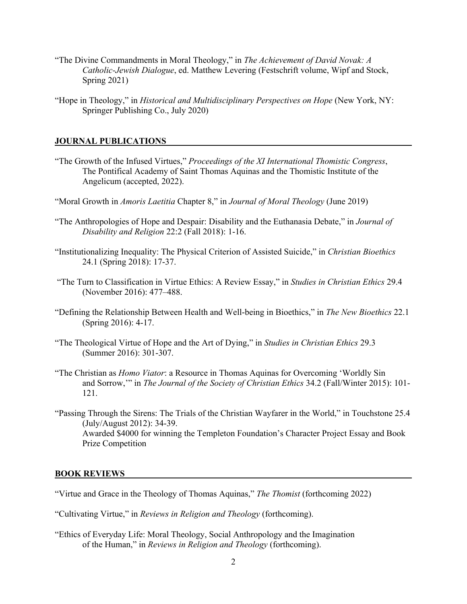- "The Divine Commandments in Moral Theology," in *The Achievement of David Novak: A Catholic-Jewish Dialogue*, ed. Matthew Levering (Festschrift volume, Wipf and Stock, Spring 2021)
- "Hope in Theology," in *Historical and Multidisciplinary Perspectives on Hope* (New York, NY: Springer Publishing Co., July 2020)

## **JOURNAL PUBLICATIONS**

- "The Growth of the Infused Virtues," *Proceedings of the XI International Thomistic Congress*, The Pontifical Academy of Saint Thomas Aquinas and the Thomistic Institute of the Angelicum (accepted, 2022).
- "Moral Growth in *Amoris Laetitia* Chapter 8," in *Journal of Moral Theology* (June 2019)
- "The Anthropologies of Hope and Despair: Disability and the Euthanasia Debate," in *Journal of Disability and Religion* 22:2 (Fall 2018): 1-16.
- "Institutionalizing Inequality: The Physical Criterion of Assisted Suicide," in *Christian Bioethics* 24.1 (Spring 2018): 17-37.
- "The Turn to Classification in Virtue Ethics: A Review Essay," in *Studies in Christian Ethics* 29.4 (November 2016): 477–488.
- "Defining the Relationship Between Health and Well-being in Bioethics," in *The New Bioethics* 22.1 (Spring 2016): 4-17.
- "The Theological Virtue of Hope and the Art of Dying," in *Studies in Christian Ethics* 29.3 (Summer 2016): 301-307.
- "The Christian as *Homo Viator*: a Resource in Thomas Aquinas for Overcoming 'Worldly Sin and Sorrow,'" in *The Journal of the Society of Christian Ethics* 34.2 (Fall/Winter 2015): 101- 121.
- "Passing Through the Sirens: The Trials of the Christian Wayfarer in the World," in Touchstone 25.4 (July/August 2012): 34-39. Awarded \$4000 for winning the Templeton Foundation's Character Project Essay and Book Prize Competition

## **BOOK REVIEWS**

- "Virtue and Grace in the Theology of Thomas Aquinas," *The Thomist* (forthcoming 2022)
- "Cultivating Virtue," in *Reviews in Religion and Theology* (forthcoming).
- "Ethics of Everyday Life: Moral Theology, Social Anthropology and the Imagination of the Human," in *Reviews in Religion and Theology* (forthcoming).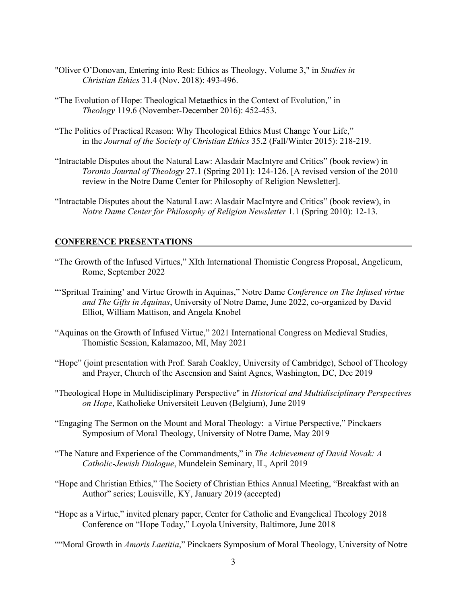- "Oliver O'Donovan, Entering into Rest: Ethics as Theology, Volume 3," in *Studies in Christian Ethics* 31.4 (Nov. 2018): 493-496.
- "The Evolution of Hope: Theological Metaethics in the Context of Evolution," in *Theology* 119.6 (November-December 2016): 452-453.
- "The Politics of Practical Reason: Why Theological Ethics Must Change Your Life," in the *Journal of the Society of Christian Ethics* 35.2 (Fall/Winter 2015): 218-219.
- "Intractable Disputes about the Natural Law: Alasdair MacIntyre and Critics" (book review) in *Toronto Journal of Theology* 27.1 (Spring 2011): 124-126. [A revised version of the 2010 review in the Notre Dame Center for Philosophy of Religion Newsletter].
- "Intractable Disputes about the Natural Law: Alasdair MacIntyre and Critics" (book review), in *Notre Dame Center for Philosophy of Religion Newsletter* 1.1 (Spring 2010): 12-13.

### **CONFERENCE PRESENTATIONS**

- "The Growth of the Infused Virtues," XIth International Thomistic Congress Proposal, Angelicum, Rome, September 2022
- "'Spritual Training' and Virtue Growth in Aquinas," Notre Dame *Conference on The Infused virtue and The Gifts in Aquinas*, University of Notre Dame, June 2022, co-organized by David Elliot, William Mattison, and Angela Knobel
- "Aquinas on the Growth of Infused Virtue," 2021 International Congress on Medieval Studies, Thomistic Session, Kalamazoo, MI, May 2021
- "Hope" (joint presentation with Prof. Sarah Coakley, University of Cambridge), School of Theology and Prayer, Church of the Ascension and Saint Agnes, Washington, DC, Dec 2019
- "Theological Hope in Multidisciplinary Perspective" in *Historical and Multidisciplinary Perspectives on Hope*, Katholieke Universiteit Leuven (Belgium), June 2019
- "Engaging The Sermon on the Mount and Moral Theology: a Virtue Perspective," Pinckaers Symposium of Moral Theology, University of Notre Dame, May 2019
- "The Nature and Experience of the Commandments," in *The Achievement of David Novak: A Catholic-Jewish Dialogue*, Mundelein Seminary, IL, April 2019
- "Hope and Christian Ethics," The Society of Christian Ethics Annual Meeting, "Breakfast with an Author" series; Louisville, KY, January 2019 (accepted)
- "Hope as a Virtue," invited plenary paper, Center for Catholic and Evangelical Theology 2018 Conference on "Hope Today," Loyola University, Baltimore, June 2018
- ""Moral Growth in *Amoris Laetitia*," Pinckaers Symposium of Moral Theology, University of Notre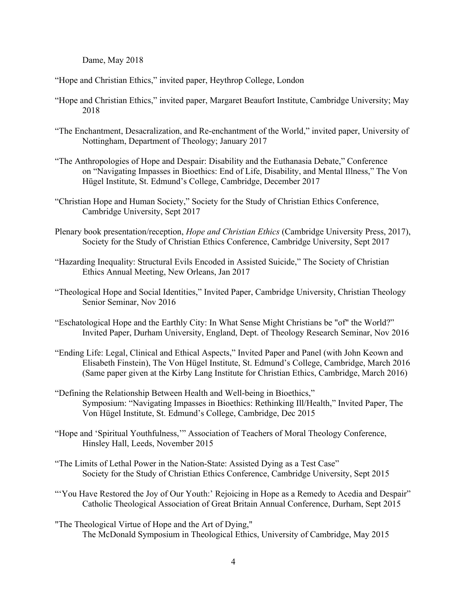Dame, May 2018

"Hope and Christian Ethics," invited paper, Heythrop College, London

- "Hope and Christian Ethics," invited paper, Margaret Beaufort Institute, Cambridge University; May 2018
- "The Enchantment, Desacralization, and Re-enchantment of the World," invited paper, University of Nottingham, Department of Theology; January 2017
- "The Anthropologies of Hope and Despair: Disability and the Euthanasia Debate," Conference on "Navigating Impasses in Bioethics: End of Life, Disability, and Mental Illness," The Von Hügel Institute, St. Edmund's College, Cambridge, December 2017
- "Christian Hope and Human Society," Society for the Study of Christian Ethics Conference, Cambridge University, Sept 2017
- Plenary book presentation/reception, *Hope and Christian Ethics* (Cambridge University Press, 2017), Society for the Study of Christian Ethics Conference, Cambridge University, Sept 2017
- "Hazarding Inequality: Structural Evils Encoded in Assisted Suicide," The Society of Christian Ethics Annual Meeting, New Orleans, Jan 2017
- "Theological Hope and Social Identities," Invited Paper, Cambridge University, Christian Theology Senior Seminar, Nov 2016
- "Eschatological Hope and the Earthly City: In What Sense Might Christians be "of" the World?" Invited Paper, Durham University, England, Dept. of Theology Research Seminar, Nov 2016
- "Ending Life: Legal, Clinical and Ethical Aspects," Invited Paper and Panel (with John Keown and Elisabeth Finstein), The Von Hügel Institute, St. Edmund's College, Cambridge, March 2016 (Same paper given at the Kirby Lang Institute for Christian Ethics, Cambridge, March 2016)
- "Defining the Relationship Between Health and Well-being in Bioethics," Symposium: "Navigating Impasses in Bioethics: Rethinking Ill/Health," Invited Paper, The Von Hügel Institute, St. Edmund's College, Cambridge, Dec 2015
- "Hope and 'Spiritual Youthfulness,'" Association of Teachers of Moral Theology Conference, Hinsley Hall, Leeds, November 2015
- "The Limits of Lethal Power in the Nation-State: Assisted Dying as a Test Case" Society for the Study of Christian Ethics Conference, Cambridge University, Sept 2015
- "You Have Restored the Joy of Our Youth:' Rejoicing in Hope as a Remedy to Acedia and Despair" Catholic Theological Association of Great Britain Annual Conference, Durham, Sept 2015
- "The Theological Virtue of Hope and the Art of Dying," The McDonald Symposium in Theological Ethics, University of Cambridge, May 2015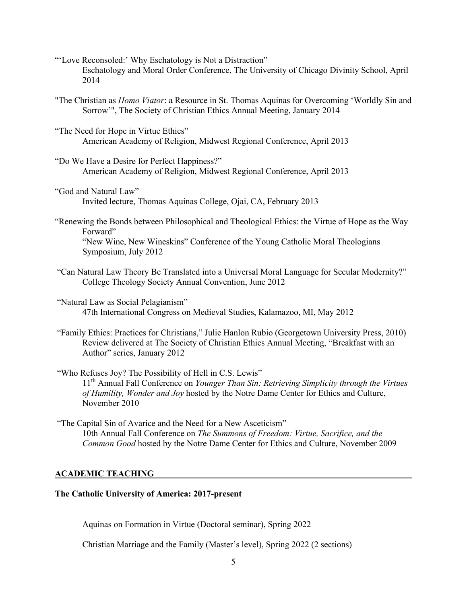"'Love Reconsoled:' Why Eschatology is Not a Distraction" Eschatology and Moral Order Conference, The University of Chicago Divinity School, April 2014

- "The Christian as *Homo Viator*: a Resource in St. Thomas Aquinas for Overcoming 'Worldly Sin and Sorrow'", The Society of Christian Ethics Annual Meeting, January 2014
- "The Need for Hope in Virtue Ethics" American Academy of Religion, Midwest Regional Conference, April 2013
- "Do We Have a Desire for Perfect Happiness?" American Academy of Religion, Midwest Regional Conference, April 2013
- "God and Natural Law" Invited lecture, Thomas Aquinas College, Ojai, CA, February 2013
- "Renewing the Bonds between Philosophical and Theological Ethics: the Virtue of Hope as the Way Forward" "New Wine, New Wineskins" Conference of the Young Catholic Moral Theologians Symposium, July 2012
- "Can Natural Law Theory Be Translated into a Universal Moral Language for Secular Modernity?" College Theology Society Annual Convention, June 2012
- "Natural Law as Social Pelagianism" 47th International Congress on Medieval Studies, Kalamazoo, MI, May 2012
- "Family Ethics: Practices for Christians," Julie Hanlon Rubio (Georgetown University Press, 2010) Review delivered at The Society of Christian Ethics Annual Meeting, "Breakfast with an Author" series, January 2012
- "Who Refuses Joy? The Possibility of Hell in C.S. Lewis" 11th Annual Fall Conference on *Younger Than Sin: Retrieving Simplicity through the Virtues of Humility, Wonder and Joy* hosted by the Notre Dame Center for Ethics and Culture, November 2010
- "The Capital Sin of Avarice and the Need for a New Asceticism" 10th Annual Fall Conference on *The Summons of Freedom: Virtue, Sacrifice, and the Common Good* hosted by the Notre Dame Center for Ethics and Culture, November 2009

## **ACADEMIC TEACHING**

## **The Catholic University of America: 2017-present**

Aquinas on Formation in Virtue (Doctoral seminar), Spring 2022

Christian Marriage and the Family (Master's level), Spring 2022 (2 sections)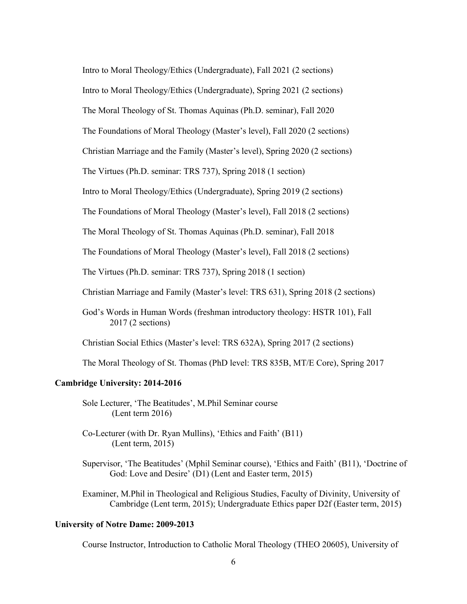Intro to Moral Theology/Ethics (Undergraduate), Fall 2021 (2 sections)

Intro to Moral Theology/Ethics (Undergraduate), Spring 2021 (2 sections)

The Moral Theology of St. Thomas Aquinas (Ph.D. seminar), Fall 2020

The Foundations of Moral Theology (Master's level), Fall 2020 (2 sections)

Christian Marriage and the Family (Master's level), Spring 2020 (2 sections)

The Virtues (Ph.D. seminar: TRS 737), Spring 2018 (1 section)

Intro to Moral Theology/Ethics (Undergraduate), Spring 2019 (2 sections)

The Foundations of Moral Theology (Master's level), Fall 2018 (2 sections)

The Moral Theology of St. Thomas Aquinas (Ph.D. seminar), Fall 2018

The Foundations of Moral Theology (Master's level), Fall 2018 (2 sections)

The Virtues (Ph.D. seminar: TRS 737), Spring 2018 (1 section)

Christian Marriage and Family (Master's level: TRS 631), Spring 2018 (2 sections)

God's Words in Human Words (freshman introductory theology: HSTR 101), Fall 2017 (2 sections)

Christian Social Ethics (Master's level: TRS 632A), Spring 2017 (2 sections)

The Moral Theology of St. Thomas (PhD level: TRS 835B, MT/E Core), Spring 2017

## **Cambridge University: 2014-2016**

Sole Lecturer, 'The Beatitudes', M.Phil Seminar course (Lent term 2016)

Co-Lecturer (with Dr. Ryan Mullins), 'Ethics and Faith' (B11) (Lent term, 2015)

Supervisor, 'The Beatitudes' (Mphil Seminar course), 'Ethics and Faith' (B11), 'Doctrine of God: Love and Desire' (D1) (Lent and Easter term, 2015)

Examiner, M.Phil in Theological and Religious Studies, Faculty of Divinity, University of Cambridge (Lent term, 2015); Undergraduate Ethics paper D2f (Easter term, 2015)

## **University of Notre Dame: 2009-2013**

Course Instructor, Introduction to Catholic Moral Theology (THEO 20605), University of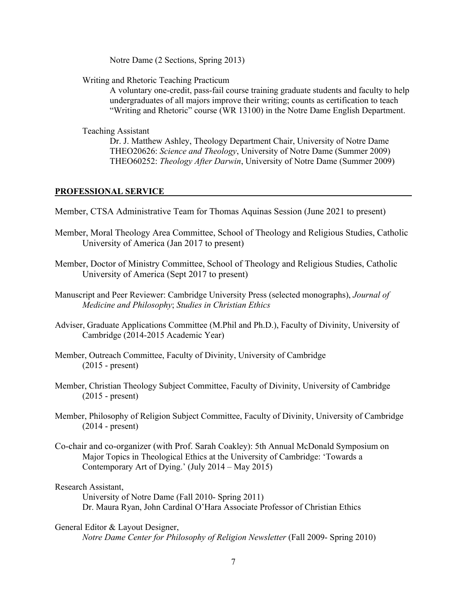Notre Dame (2 Sections, Spring 2013)

Writing and Rhetoric Teaching Practicum

A voluntary one-credit, pass-fail course training graduate students and faculty to help undergraduates of all majors improve their writing; counts as certification to teach "Writing and Rhetoric" course (WR 13100) in the Notre Dame English Department.

Teaching Assistant

Dr. J. Matthew Ashley, Theology Department Chair, University of Notre Dame THEO20626: *Science and Theology*, University of Notre Dame (Summer 2009) THEO60252: *Theology After Darwin*, University of Notre Dame (Summer 2009)

## **PROFESSIONAL SERVICE**

- Member, CTSA Administrative Team for Thomas Aquinas Session (June 2021 to present)
- Member, Moral Theology Area Committee, School of Theology and Religious Studies, Catholic University of America (Jan 2017 to present)
- Member, Doctor of Ministry Committee, School of Theology and Religious Studies, Catholic University of America (Sept 2017 to present)
- Manuscript and Peer Reviewer: Cambridge University Press (selected monographs), *Journal of Medicine and Philosophy*; *Studies in Christian Ethics*
- Adviser, Graduate Applications Committee (M.Phil and Ph.D.), Faculty of Divinity, University of Cambridge (2014-2015 Academic Year)
- Member, Outreach Committee, Faculty of Divinity, University of Cambridge (2015 - present)
- Member, Christian Theology Subject Committee, Faculty of Divinity, University of Cambridge (2015 - present)
- Member, Philosophy of Religion Subject Committee, Faculty of Divinity, University of Cambridge (2014 - present)
- Co-chair and co-organizer (with Prof. Sarah Coakley): 5th Annual McDonald Symposium on Major Topics in Theological Ethics at the University of Cambridge: 'Towards a Contemporary Art of Dying.' (July 2014 – May 2015)

Research Assistant,

University of Notre Dame (Fall 2010- Spring 2011) Dr. Maura Ryan, John Cardinal O'Hara Associate Professor of Christian Ethics

General Editor & Layout Designer, *Notre Dame Center for Philosophy of Religion Newsletter* (Fall 2009- Spring 2010)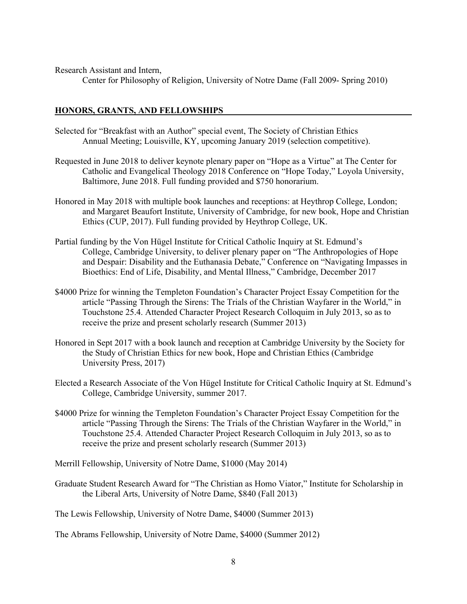Research Assistant and Intern,

Center for Philosophy of Religion, University of Notre Dame (Fall 2009- Spring 2010)

## **HONORS, GRANTS, AND FELLOWSHIPS**

- Selected for "Breakfast with an Author" special event, The Society of Christian Ethics Annual Meeting; Louisville, KY, upcoming January 2019 (selection competitive).
- Requested in June 2018 to deliver keynote plenary paper on "Hope as a Virtue" at The Center for Catholic and Evangelical Theology 2018 Conference on "Hope Today," Loyola University, Baltimore, June 2018. Full funding provided and \$750 honorarium.
- Honored in May 2018 with multiple book launches and receptions: at Heythrop College, London; and Margaret Beaufort Institute, University of Cambridge, for new book, Hope and Christian Ethics (CUP, 2017). Full funding provided by Heythrop College, UK.
- Partial funding by the Von Hügel Institute for Critical Catholic Inquiry at St. Edmund's College, Cambridge University, to deliver plenary paper on "The Anthropologies of Hope and Despair: Disability and the Euthanasia Debate," Conference on "Navigating Impasses in Bioethics: End of Life, Disability, and Mental Illness," Cambridge, December 2017
- \$4000 Prize for winning the Templeton Foundation's Character Project Essay Competition for the article "Passing Through the Sirens: The Trials of the Christian Wayfarer in the World," in Touchstone 25.4. Attended Character Project Research Colloquim in July 2013, so as to receive the prize and present scholarly research (Summer 2013)
- Honored in Sept 2017 with a book launch and reception at Cambridge University by the Society for the Study of Christian Ethics for new book, Hope and Christian Ethics (Cambridge University Press, 2017)
- Elected a Research Associate of the Von Hügel Institute for Critical Catholic Inquiry at St. Edmund's College, Cambridge University, summer 2017.
- \$4000 Prize for winning the Templeton Foundation's Character Project Essay Competition for the article "Passing Through the Sirens: The Trials of the Christian Wayfarer in the World," in Touchstone 25.4. Attended Character Project Research Colloquim in July 2013, so as to receive the prize and present scholarly research (Summer 2013)

Merrill Fellowship, University of Notre Dame, \$1000 (May 2014)

Graduate Student Research Award for "The Christian as Homo Viator," Institute for Scholarship in the Liberal Arts, University of Notre Dame, \$840 (Fall 2013)

The Lewis Fellowship, University of Notre Dame, \$4000 (Summer 2013)

The Abrams Fellowship, University of Notre Dame, \$4000 (Summer 2012)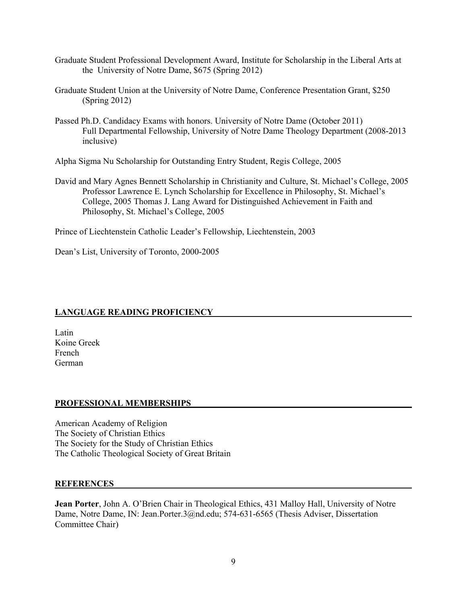- Graduate Student Professional Development Award, Institute for Scholarship in the Liberal Arts at the University of Notre Dame, \$675 (Spring 2012)
- Graduate Student Union at the University of Notre Dame, Conference Presentation Grant, \$250 (Spring 2012)
- Passed Ph.D. Candidacy Exams with honors. University of Notre Dame (October 2011) Full Departmental Fellowship, University of Notre Dame Theology Department (2008-2013 inclusive)

Alpha Sigma Nu Scholarship for Outstanding Entry Student, Regis College, 2005

David and Mary Agnes Bennett Scholarship in Christianity and Culture, St. Michael's College, 2005 Professor Lawrence E. Lynch Scholarship for Excellence in Philosophy, St. Michael's College, 2005 Thomas J. Lang Award for Distinguished Achievement in Faith and Philosophy, St. Michael's College, 2005

Prince of Liechtenstein Catholic Leader's Fellowship, Liechtenstein, 2003

Dean's List, University of Toronto, 2000-2005

# **LANGUAGE READING PROFICIENCY**

Latin Koine Greek French German

## **PROFESSIONAL MEMBERSHIPS**

American Academy of Religion The Society of Christian Ethics The Society for the Study of Christian Ethics The Catholic Theological Society of Great Britain

## **REFERENCES**

**Jean Porter**, John A. O'Brien Chair in Theological Ethics, 431 Malloy Hall, University of Notre Dame, Notre Dame, IN: Jean.Porter.3@nd.edu; 574-631-6565 (Thesis Adviser, Dissertation Committee Chair)